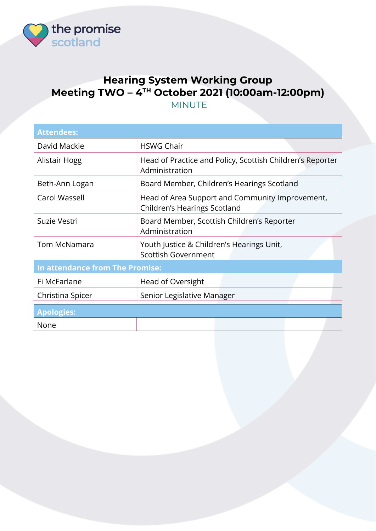

## **Hearing System Working Group Meeting TWO – 4 TH October 2021 (10:00am-12:00pm)** MINUTE

| <b>Attendees:</b>               |                                                                                 |  |
|---------------------------------|---------------------------------------------------------------------------------|--|
| David Mackie                    | <b>HSWG Chair</b>                                                               |  |
| Alistair Hogg                   | Head of Practice and Policy, Scottish Children's Reporter<br>Administration     |  |
| Beth-Ann Logan                  | Board Member, Children's Hearings Scotland                                      |  |
| Carol Wassell                   | Head of Area Support and Community Improvement,<br>Children's Hearings Scotland |  |
| Suzie Vestri                    | Board Member, Scottish Children's Reporter<br>Administration                    |  |
| <b>Tom McNamara</b>             | Youth Justice & Children's Hearings Unit,<br><b>Scottish Government</b>         |  |
| In attendance from The Promise: |                                                                                 |  |
| Fi McFarlane                    | Head of Oversight                                                               |  |
| Christina Spicer                | Senior Legislative Manager                                                      |  |
| <b>Apologies:</b>               |                                                                                 |  |
| None                            |                                                                                 |  |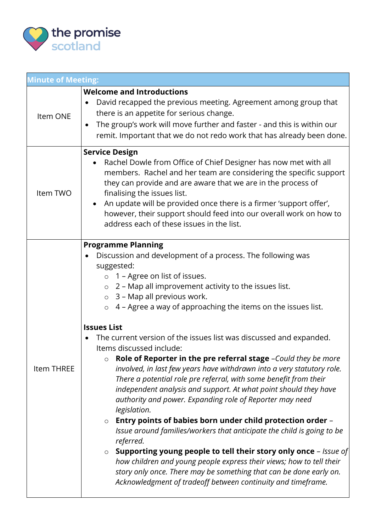

| <b>Minute of Meeting:</b> |                                                                                                                                                                                                                                                                                                                                                                                                                                                                                                                                                                                                                                                                                                                                                                                                                                                                                                                                                                                                                                                                                                                                                                                                                                                                                               |  |
|---------------------------|-----------------------------------------------------------------------------------------------------------------------------------------------------------------------------------------------------------------------------------------------------------------------------------------------------------------------------------------------------------------------------------------------------------------------------------------------------------------------------------------------------------------------------------------------------------------------------------------------------------------------------------------------------------------------------------------------------------------------------------------------------------------------------------------------------------------------------------------------------------------------------------------------------------------------------------------------------------------------------------------------------------------------------------------------------------------------------------------------------------------------------------------------------------------------------------------------------------------------------------------------------------------------------------------------|--|
| Item ONE                  | <b>Welcome and Introductions</b><br>David recapped the previous meeting. Agreement among group that<br>$\bullet$<br>there is an appetite for serious change.<br>The group's work will move further and faster - and this is within our<br>$\bullet$<br>remit. Important that we do not redo work that has already been done.                                                                                                                                                                                                                                                                                                                                                                                                                                                                                                                                                                                                                                                                                                                                                                                                                                                                                                                                                                  |  |
| Item TWO                  | <b>Service Design</b><br>Rachel Dowle from Office of Chief Designer has now met with all<br>$\bullet$<br>members. Rachel and her team are considering the specific support<br>they can provide and are aware that we are in the process of<br>finalising the issues list.<br>• An update will be provided once there is a firmer 'support offer',<br>however, their support should feed into our overall work on how to<br>address each of these issues in the list.                                                                                                                                                                                                                                                                                                                                                                                                                                                                                                                                                                                                                                                                                                                                                                                                                          |  |
| Item THREE                | <b>Programme Planning</b><br>Discussion and development of a process. The following was<br>suggested:<br>o 1 - Agree on list of issues.<br>$\circ$ 2 – Map all improvement activity to the issues list.<br>$\circ$ 3 – Map all previous work.<br>$\circ$ 4 – Agree a way of approaching the items on the issues list.<br><b>Issues List</b><br>The current version of the issues list was discussed and expanded.<br>Items discussed include:<br>Role of Reporter in the pre referral stage -Could they be more<br>$\circ$<br>involved, in last few years have withdrawn into a very statutory role.<br>There a potential role pre referral, with some benefit from their<br>independent analysis and support. At what point should they have<br>authority and power. Expanding role of Reporter may need<br>legislation.<br>Entry points of babies born under child protection order -<br>$\circ$<br>Issue around families/workers that anticipate the child is going to be<br>referred.<br><b>Supporting young people to tell their story only once</b> - Issue of<br>$\circ$<br>how children and young people express their views; how to tell their<br>story only once. There may be something that can be done early on.<br>Acknowledgment of tradeoff between continuity and timeframe. |  |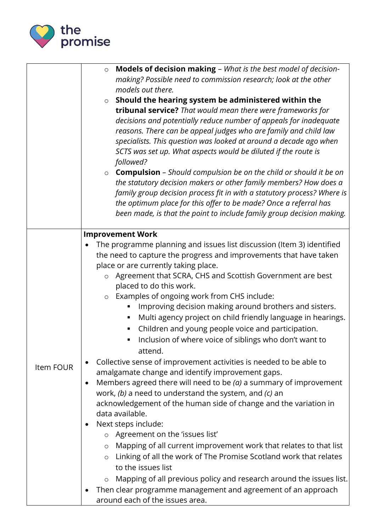

|           | Models of decision making - What is the best model of decision-<br>$\circ$<br>making? Possible need to commission research; look at the other<br>models out there.<br>Should the hearing system be administered within the<br>$\circ$<br>tribunal service? That would mean there were frameworks for<br>decisions and potentially reduce number of appeals for inadequate<br>reasons. There can be appeal judges who are family and child law<br>specialists. This question was looked at around a decade ago when<br>SCTS was set up. What aspects would be diluted if the route is<br>followed?<br><b>Compulsion</b> - Should compulsion be on the child or should it be on<br>$\circ$<br>the statutory decision makers or other family members? How does a                                                                                                                                                                                                                                                                                                                                                                                                                                                                                                                                                                                                                                                     |
|-----------|-------------------------------------------------------------------------------------------------------------------------------------------------------------------------------------------------------------------------------------------------------------------------------------------------------------------------------------------------------------------------------------------------------------------------------------------------------------------------------------------------------------------------------------------------------------------------------------------------------------------------------------------------------------------------------------------------------------------------------------------------------------------------------------------------------------------------------------------------------------------------------------------------------------------------------------------------------------------------------------------------------------------------------------------------------------------------------------------------------------------------------------------------------------------------------------------------------------------------------------------------------------------------------------------------------------------------------------------------------------------------------------------------------------------|
|           | family group decision process fit in with a statutory process? Where is<br>the optimum place for this offer to be made? Once a referral has<br>been made, is that the point to include family group decision making.                                                                                                                                                                                                                                                                                                                                                                                                                                                                                                                                                                                                                                                                                                                                                                                                                                                                                                                                                                                                                                                                                                                                                                                              |
|           | <b>Improvement Work</b>                                                                                                                                                                                                                                                                                                                                                                                                                                                                                                                                                                                                                                                                                                                                                                                                                                                                                                                                                                                                                                                                                                                                                                                                                                                                                                                                                                                           |
| Item FOUR | The programme planning and issues list discussion (Item 3) identified<br>the need to capture the progress and improvements that have taken<br>place or are currently taking place.<br>Agreement that SCRA, CHS and Scottish Government are best<br>$\circ$<br>placed to do this work.<br>o Examples of ongoing work from CHS include:<br>Improving decision making around brothers and sisters.<br>п<br>Multi agency project on child friendly language in hearings.<br>Children and young people voice and participation.<br>Inclusion of where voice of siblings who don't want to<br>attend.<br>Collective sense of improvement activities is needed to be able to<br>٠<br>amalgamate change and identify improvement gaps.<br>Members agreed there will need to be $(a)$ a summary of improvement<br>$\bullet$<br>work, $(b)$ a need to understand the system, and $(c)$ an<br>acknowledgement of the human side of change and the variation in<br>data available.<br>Next steps include:<br>٠<br>o Agreement on the 'issues list'<br>Mapping of all current improvement work that relates to that list<br>$\circ$<br>Linking of all the work of The Promise Scotland work that relates<br>$\circ$<br>to the issues list<br>Mapping of all previous policy and research around the issues list.<br>$\circ$<br>Then clear programme management and agreement of an approach<br>around each of the issues area. |